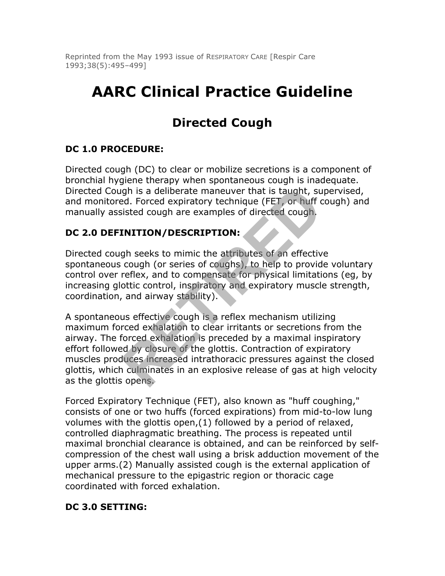Reprinted from the May 1993 issue of RESPIRATORY CARE [Respir Care 1993;38(5):495–499]

# **AARC Clinical Practice Guideline**

# **Directed Cough**

# **DC 1.0 PROCEDURE:**

Directed cough (DC) to clear or mobilize secretions is a component of bronchial hygiene therapy when spontaneous cough is inadequate. Directed Cough is a deliberate maneuver that is taught, supervised, and monitored. Forced expiratory technique (FET, or huff cough) and manually assisted cough are examples of directed cough.

# **DC 2.0 DEFINITION/DESCRIPTION:**

Directed cough seeks to mimic the attributes of an effective spontaneous cough (or series of coughs), to help to provide voluntary control over reflex, and to compensate for physical limitations (eg, by increasing glottic control, inspiratory and expiratory muscle strength, coordination, and airway stability).

A spontaneous effective cough is a reflex mechanism utilizing maximum forced exhalation to clear irritants or secretions from the airway. The forced exhalation is preceded by a maximal inspiratory effort followed by closure of the glottis. Contraction of expiratory muscles produces increased intrathoracic pressures against the closed glottis, which culminates in an explosive release of gas at high velocity as the glottis opens. gh is a deliberate maneuver that is taught, sued. Forced expiratory technique (FET, or huff c<br>isted cough are examples of directed cough.<br> **INITION/DESCRIPTION:**<br>
gh seeks to mimic the attributes of an effectiv<br>
cough (or

Forced Expiratory Technique (FET), also known as "huff coughing," consists of one or two huffs (forced expirations) from mid-to-low lung volumes with the glottis open,(1) followed by a period of relaxed, controlled diaphragmatic breathing. The process is repeated until maximal bronchial clearance is obtained, and can be reinforced by selfcompression of the chest wall using a brisk adduction movement of the upper arms.(2) Manually assisted cough is the external application of mechanical pressure to the epigastric region or thoracic cage coordinated with forced exhalation.

#### **DC 3.0 SETTING:**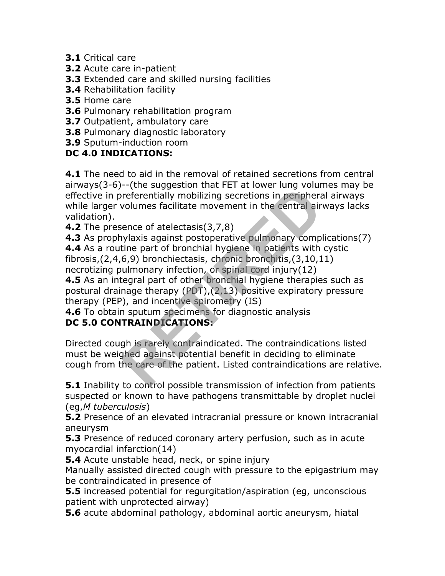- **3.1** Critical care
- **3.2** Acute care in-patient
- **3.3** Extended care and skilled nursing facilities
- **3.4** Rehabilitation facility
- **3.5** Home care
- **3.6** Pulmonary rehabilitation program
- **3.7** Outpatient, ambulatory care
- **3.8** Pulmonary diagnostic laboratory
- **3.9** Sputum-induction room

#### **DC 4.0 INDICATIONS:**

**4.1** The need to aid in the removal of retained secretions from central airways(3-6)--(the suggestion that FET at lower lung volumes may be effective in preferentially mobilizing secretions in peripheral airways while larger volumes facilitate movement in the central airways lacks validation). Transferred in the control of the control of the control of the control of the central of the central state of atelectasis(3,7,8) what is against postoperative pulmonary complising secretion of the part of bronchial hygien

**4.2** The presence of atelectasis(3,7,8)

**4.3** As prophylaxis against postoperative pulmonary complications(7) **4.4** As a routine part of bronchial hygiene in patients with cystic fibrosis,(2,4,6,9) bronchiectasis, chronic bronchitis,(3,10,11)

necrotizing pulmonary infection, or spinal cord injury(12)

**4.5** As an integral part of other bronchial hygiene therapies such as postural drainage therapy (PDT),(2,13) positive expiratory pressure therapy (PEP), and incentive spirometry (IS)

**4.6** To obtain sputum specimens for diagnostic analysis

# **DC 5.0 CONTRAINDICATIONS:**

Directed cough is rarely contraindicated. The contraindications listed must be weighed against potential benefit in deciding to eliminate cough from the care of the patient. Listed contraindications are relative.

**5.1** Inability to control possible transmission of infection from patients suspected or known to have pathogens transmittable by droplet nuclei (eg,*M tuberculosis*)

**5.2** Presence of an elevated intracranial pressure or known intracranial aneurysm

**5.3** Presence of reduced coronary artery perfusion, such as in acute myocardial infarction(14)

**5.4** Acute unstable head, neck, or spine injury

Manually assisted directed cough with pressure to the epigastrium may be contraindicated in presence of

**5.5** increased potential for regurgitation/aspiration (eg, unconscious patient with unprotected airway)

**5.6** acute abdominal pathology, abdominal aortic aneurysm, hiatal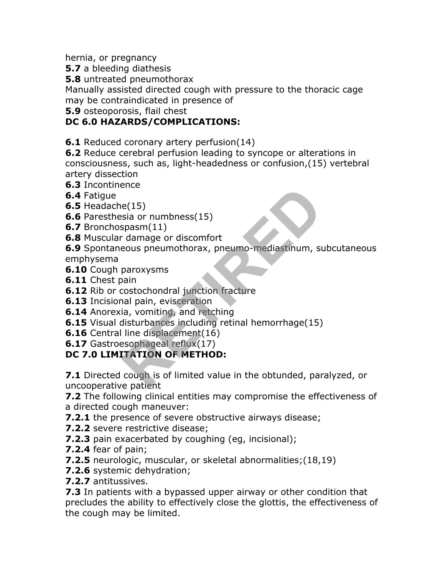hernia, or pregnancy

**5.7** a bleeding diathesis

**5.8** untreated pneumothorax

Manually assisted directed cough with pressure to the thoracic cage may be contraindicated in presence of

**5.9** osteoporosis, flail chest

### **DC 6.0 HAZARDS/COMPLICATIONS:**

**6.1** Reduced coronary artery perfusion(14)

**6.2** Reduce cerebral perfusion leading to syncope or alterations in consciousness, such as, light-headedness or confusion,(15) vertebral artery dissection

- **6.3** Incontinence
- **6.4** Fatigue

**6.5** Headache(15)

- **6.6** Paresthesia or numbness(15)
- **6.7** Bronchospasm(11)
- **6.8** Muscular damage or discomfort

**6.9** Spontaneous pneumothorax, pneumo-mediastinum, subcutaneous emphysema e(15)<br>
sia or numbness(15)<br>
spasm(11)<br>
damage or discomfort<br>
eous pneumothorax, pneumo-mediastinum, su<br>
paroxysms<br>
paroxysms<br>
ain<br>
aia, vomiting, and retching<br>
inal pain, evisceration<br>
ia, vomiting, and retching<br>
disturban

- **6.10** Cough paroxysms
- **6.11** Chest pain
- **6.12** Rib or costochondral junction fracture
- **6.13** Incisional pain, evisceration
- **6.14** Anorexia, vomiting, and retching
- **6.15** Visual disturbances including retinal hemorrhage(15)
- **6.16** Central line displacement(16)
- **6.17** Gastroesophageal reflux(17)

### **DC 7.0 LIMITATION OF METHOD:**

**7.1** Directed cough is of limited value in the obtunded, paralyzed, or uncooperative patient

**7.2** The following clinical entities may compromise the effectiveness of a directed cough maneuver:

**7.2.1** the presence of severe obstructive airways disease;

- **7.2.2** severe restrictive disease;
- **7.2.3** pain exacerbated by coughing (eg, incisional);
- **7.2.4** fear of pain;
- **7.2.5** neurologic, muscular, or skeletal abnormalities;(18,19)
- **7.2.6** systemic dehydration;
- **7.2.7** antitussives.

**7.3** In patients with a bypassed upper airway or other condition that precludes the ability to effectively close the glottis, the effectiveness of the cough may be limited.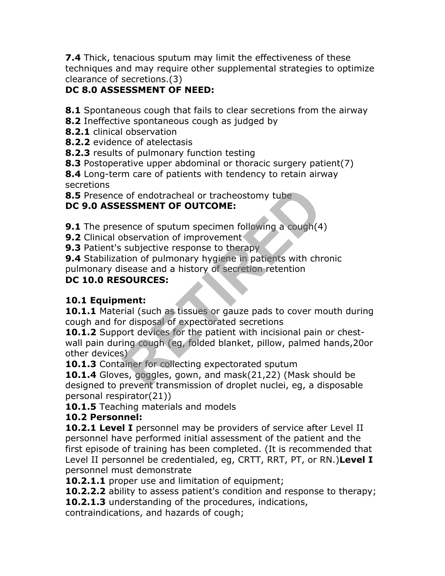**7.4** Thick, tenacious sputum may limit the effectiveness of these techniques and may require other supplemental strategies to optimize clearance of secretions.(3)

# **DC 8.0 ASSESSMENT OF NEED:**

**8.1** Spontaneous cough that fails to clear secretions from the airway

- **8.2** Ineffective spontaneous cough as judged by
- **8.2.1** clinical observation
- **8.2.2** evidence of atelectasis
- **8.2.3** results of pulmonary function testing
- **8.3** Postoperative upper abdominal or thoracic surgery patient(7)

**8.4** Long-term care of patients with tendency to retain airway secretions

**8.5** Presence of endotracheal or tracheostomy tube

# **DC 9.0 ASSESSMENT OF OUTCOME:**

**9.1** The presence of sputum specimen following a cough(4)

**9.2** Clinical observation of improvement

**9.3** Patient's subjective response to therapy

**9.4** Stabilization of pulmonary hygiene in patients with chronic

pulmonary disease and a history of secretion retention

# **DC 10.0 RESOURCES:**

### **10.1 Equipment:**

10.1.1 Material (such as tissues or gauze pads to cover mouth during cough and for disposal of expectorated secretions

**10.1.2** Support devices for the patient with incisional pain or chestwall pain during cough (eg, folded blanket, pillow, palmed hands,20or other devices) Profiled and tracheostomy tube<br> **RESSMENT OF OUTCOME:**<br>
Rence of sputum specimen following a cough(4<br>
bbservation of improvement<br>
subjective response to therapy<br>
subjective response to therapy<br>
subjective response to thera

10.1.3 Container for collecting expectorated sputum

**10.1.4** Gloves, goggles, gown, and mask(21,22) (Mask should be designed to prevent transmission of droplet nuclei, eg, a disposable personal respirator(21))

**10.1.5** Teaching materials and models

### **10.2 Personnel:**

**10.2.1 Level I** personnel may be providers of service after Level II personnel have performed initial assessment of the patient and the first episode of training has been completed. (It is recommended that Level II personnel be credentialed, eg, CRTT, RRT, PT, or RN.)**Level I** personnel must demonstrate

**10.2.1.1** proper use and limitation of equipment;

**10.2.2.2** ability to assess patient's condition and response to therapy;

**10.2.1.3** understanding of the procedures, indications,

contraindications, and hazards of cough;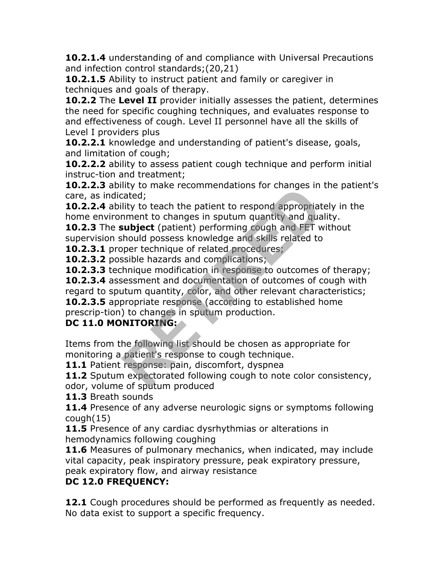**10.2.1.4** understanding of and compliance with Universal Precautions and infection control standards;(20,21)

**10.2.1.5** Ability to instruct patient and family or caregiver in techniques and goals of therapy.

**10.2.2** The **Level II** provider initially assesses the patient, determines the need for specific coughing techniques, and evaluates response to and effectiveness of cough. Level II personnel have all the skills of Level I providers plus

**10.2.2.1** knowledge and understanding of patient's disease, goals, and limitation of cough;

**10.2.2.2** ability to assess patient cough technique and perform initial instruc-tion and treatment;

**10.2.2.3** ability to make recommendations for changes in the patient's care, as indicated;

**10.2.2.4** ability to teach the patient to respond appropriately in the home environment to changes in sputum quantity and quality.

**10.2.3** The **subject** (patient) performing cough and FET without supervision should possess knowledge and skills related to

**10.2.3.1** proper technique of related procedures;

**10.2.3.2** possible hazards and complications;

**10.2.3.3** technique modification in response to outcomes of therapy;

**10.2.3.4** assessment and documentation of outcomes of cough with regard to sputum quantity, color, and other relevant characteristics; **10.2.3.5** appropriate response (according to established home cated;<br>this to teach the patient to respond appropriated;<br>ility to teach the patient to respond appropriat<br>nment to changes in sputum quantity and qua<br>subject (patient) performing cough and FET w<br>hould possess knowledge an

prescrip-tion) to changes in sputum production.

# **DC 11.0 MONITORING:**

Items from the following list should be chosen as appropriate for monitoring a patient's response to cough technique.

**11.1** Patient response: pain, discomfort, dyspnea

**11.2** Sputum expectorated following cough to note color consistency, odor, volume of sputum produced

**11.3** Breath sounds

**11.4** Presence of any adverse neurologic signs or symptoms following cough(15)

**11.5** Presence of any cardiac dysrhythmias or alterations in hemodynamics following coughing

**11.6** Measures of pulmonary mechanics, when indicated, may include vital capacity, peak inspiratory pressure, peak expiratory pressure, peak expiratory flow, and airway resistance

# **DC 12.0 FREQUENCY:**

**12.1** Cough procedures should be performed as frequently as needed. No data exist to support a specific frequency.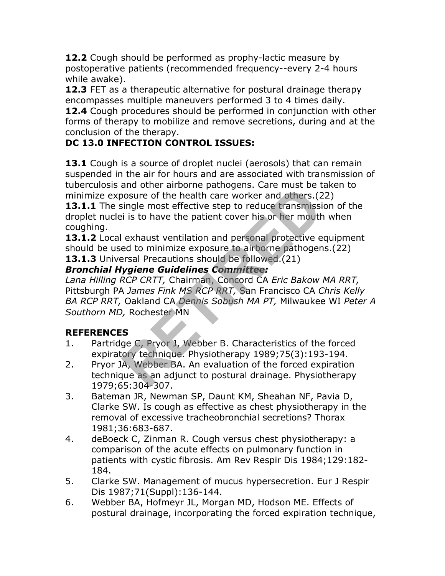**12.2** Cough should be performed as prophy-lactic measure by postoperative patients (recommended frequency--every 2-4 hours while awake).

**12.3** FET as a therapeutic alternative for postural drainage therapy encompasses multiple maneuvers performed 3 to 4 times daily. **12.4** Cough procedures should be performed in conjunction with other forms of therapy to mobilize and remove secretions, during and at the conclusion of the therapy.

# **DC 13.0 INFECTION CONTROL ISSUES:**

**13.1** Cough is a source of droplet nuclei (aerosols) that can remain suspended in the air for hours and are associated with transmission of tuberculosis and other airborne pathogens. Care must be taken to minimize exposure of the health care worker and others.(22)

13.1.1 The single most effective step to reduce transmission of the droplet nuclei is to have the patient cover his or her mouth when coughing.

13.1.2 Local exhaust ventilation and personal protective equipment should be used to minimize exposure to airborne pathogens.(22) **13.1.3** Universal Precautions should be followed.(21)

# *Bronchial Hygiene Guidelines Committee:*

*Lana Hilling RCP CRTT,* Chairman, Concord CA *Eric Bakow MA RRT,* Pittsburgh PA *James Fink MS RCP RRT,* San Francisco CA *Chris Kelly BA RCP RRT,* Oakland CA *Dennis Sobush MA PT,* Milwaukee WI *Peter A Southorn MD,* Rochester MN bosure of the health care worker and others. (2<br>isingle most effective step to reduce transmissis<br>i is to have the patient cover his or her mouth<br>exhaust ventilation and personal protective e<br>ed to minimize exposure to air

### **REFERENCES**

- 1. Partridge C, Pryor J, Webber B. Characteristics of the forced expiratory technique. Physiotherapy 1989;75(3):193-194.
- 2. Pryor JA, Webber BA. An evaluation of the forced expiration technique as an adjunct to postural drainage. Physiotherapy 1979;65:304-307.
- 3. Bateman JR, Newman SP, Daunt KM, Sheahan NF, Pavia D, Clarke SW. Is cough as effective as chest physiotherapy in the removal of excessive tracheobronchial secretions? Thorax 1981;36:683-687.
- 4. deBoeck C, Zinman R. Cough versus chest physiotherapy: a comparison of the acute effects on pulmonary function in patients with cystic fibrosis. Am Rev Respir Dis 1984;129:182- 184.
- 5. Clarke SW. Management of mucus hypersecretion. Eur J Respir Dis 1987;71(Suppl):136-144.
- 6. Webber BA, Hofmeyr JL, Morgan MD, Hodson ME. Effects of postural drainage, incorporating the forced expiration technique,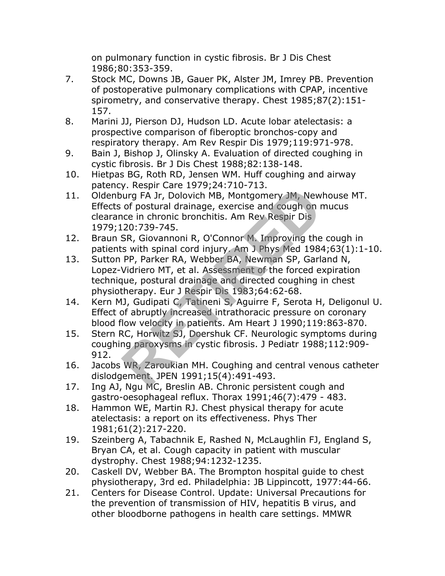on pulmonary function in cystic fibrosis. Br J Dis Chest 1986;80:353-359.

- 7. Stock MC, Downs JB, Gauer PK, Alster JM, Imrey PB. Prevention of postoperative pulmonary complications with CPAP, incentive spirometry, and conservative therapy. Chest 1985;87(2):151- 157.
- 8. Marini JJ, Pierson DJ, Hudson LD. Acute lobar atelectasis: a prospective comparison of fiberoptic bronchos-copy and respiratory therapy. Am Rev Respir Dis 1979;119:971-978.
- 9. Bain J, Bishop J, Olinsky A. Evaluation of directed coughing in cystic fibrosis. Br J Dis Chest 1988;82:138-148.
- 10. Hietpas BG, Roth RD, Jensen WM. Huff coughing and airway patency. Respir Care 1979;24:710-713.
- 11. Oldenburg FA Jr, Dolovich MB, Montgomery JM, Newhouse MT. Effects of postural drainage, exercise and cough on mucus clearance in chronic bronchitis. Am Rev Respir Dis 1979;120:739-745.
- 12. Braun SR, Giovannoni R, O'Connor M. Improving the cough in patients with spinal cord injury. Am J Phys Med 1984;63(1):1-10.
- 13. Sutton PP, Parker RA, Webber BA, Newman SP, Garland N, Lopez-Vidriero MT, et al. Assessment of the forced expiration technique, postural drainage and directed coughing in chest physiotherapy. Eur J Respir Dis 1983;64:62-68. y. Respir Care 1373,24.710 713.<br>
Jurg FA Jr, Dolovich MB, Montgomery JM, New<br>
of postural drainage, exercise and cough on r<br>
nce in chronic bronchitis. Am Rev Respir Dis<br>
20:739-745.<br>
SR, Giovannoni R, O'Connor M. Improvin
- 14. Kern MJ, Gudipati C, Tatineni S, Aguirre F, Serota H, Deligonul U. Effect of abruptly increased intrathoracic pressure on coronary blood flow velocity in patients. Am Heart J 1990;119:863-870.
- 15. Stern RC, Horwitz SJ, Doershuk CF. Neurologic symptoms during coughing paroxysms in cystic fibrosis. J Pediatr 1988;112:909- 912.
- 16. Jacobs WR, Zaroukian MH. Coughing and central venous catheter dislodgement. JPEN 1991;15(4):491-493.
- 17. Ing AJ, Ngu MC, Breslin AB. Chronic persistent cough and gastro-oesophageal reflux. Thorax 1991;46(7):479 - 483.
- 18. Hammon WE, Martin RJ. Chest physical therapy for acute atelectasis: a report on its effectiveness. Phys Ther 1981;61(2):217-220.
- 19. Szeinberg A, Tabachnik E, Rashed N, McLaughlin FJ, England S, Bryan CA, et al. Cough capacity in patient with muscular dystrophy. Chest 1988;94:1232-1235.
- 20. Caskell DV, Webber BA. The Brompton hospital guide to chest physiotherapy, 3rd ed. Philadelphia: JB Lippincott, 1977:44-66.
- 21. Centers for Disease Control. Update: Universal Precautions for the prevention of transmission of HIV, hepatitis B virus, and other bloodborne pathogens in health care settings. MMWR